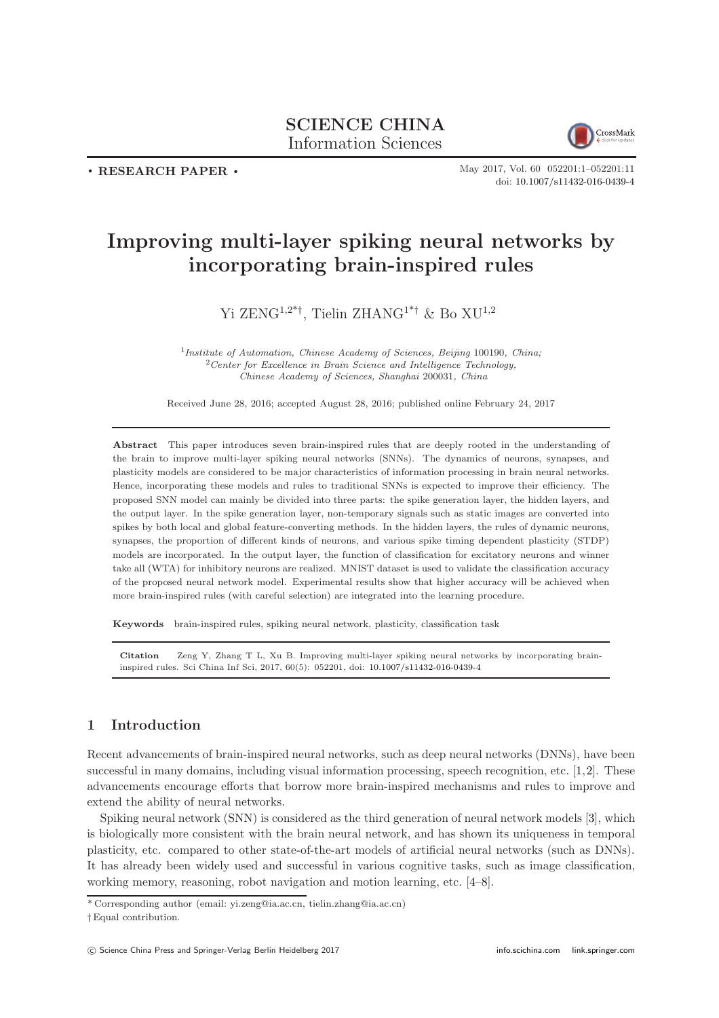# SCIENCE CHINA Information Sciences



. RESEARCH PAPER .

May 2017, Vol. 60 052201:1–052201[:11](#page-10-0) doi: [10.1007/s11432-016-0439-4](https://doi.org/10.1007/s11432-016-0439-4)

# Improving multi-layer spiking neural networks by incorporating brain-inspired rules

# Yi ZENG<sup>1,2\*†</sup>, Tielin ZHANG<sup>1\*†</sup> & Bo XU<sup>1,2</sup>

<sup>1</sup>Institute of Automation, Chinese Academy of Sciences, Beijing 100190, China;  $2$ Center for Excellence in Brain Science and Intelligence Technology, Chinese Academy of Sciences, Shanghai 200031, China

Received June 28, 2016; accepted August 28, 2016; published online February 24, 2017

Abstract This paper introduces seven brain-inspired rules that are deeply rooted in the understanding of the brain to improve multi-layer spiking neural networks (SNNs). The dynamics of neurons, synapses, and plasticity models are considered to be major characteristics of information processing in brain neural networks. Hence, incorporating these models and rules to traditional SNNs is expected to improve their efficiency. The proposed SNN model can mainly be divided into three parts: the spike generation layer, the hidden layers, and the output layer. In the spike generation layer, non-temporary signals such as static images are converted into spikes by both local and global feature-converting methods. In the hidden layers, the rules of dynamic neurons, synapses, the proportion of different kinds of neurons, and various spike timing dependent plasticity (STDP) models are incorporated. In the output layer, the function of classification for excitatory neurons and winner take all (WTA) for inhibitory neurons are realized. MNIST dataset is used to validate the classification accuracy of the proposed neural network model. Experimental results show that higher accuracy will be achieved when more brain-inspired rules (with careful selection) are integrated into the learning procedure.

Keywords brain-inspired rules, spiking neural network, plasticity, classification task

Citation Zeng Y, Zhang T L, Xu B. Improving multi-layer spiking neural networks by incorporating braininspired rules. Sci China Inf Sci, 2017, 60(5): 052201, doi: [10.1007/s11432-016-0439-4](https://doi.org/10.1007/s11432-016-0439-4)

# 1 Introduction

Recent advancements of brain-inspired neural networks, such as deep neural networks (DNNs), have been successful in many domains, including visual information processing, speech recognition, etc. [\[1,](#page-9-0)[2\]](#page-9-1). These advancements encourage efforts that borrow more brain-inspired mechanisms and rules to improve and extend the ability of neural networks.

Spiking neural network (SNN) is considered as the third generation of neural network models [\[3\]](#page-9-2), which is biologically more consistent with the brain neural network, and has shown its uniqueness in temporal plasticity, etc. compared to other state-of-the-art models of artificial neural networks (such as DNNs). It has already been widely used and successful in various cognitive tasks, such as image classification, working memory, reasoning, robot navigation and motion learning, etc. [\[4–](#page-9-3)[8\]](#page-9-4).

<sup>\*</sup> Corresponding author (email: yi.zeng@ia.ac.cn, tielin.zhang@ia.ac.cn)

<sup>†</sup> Equal contribution.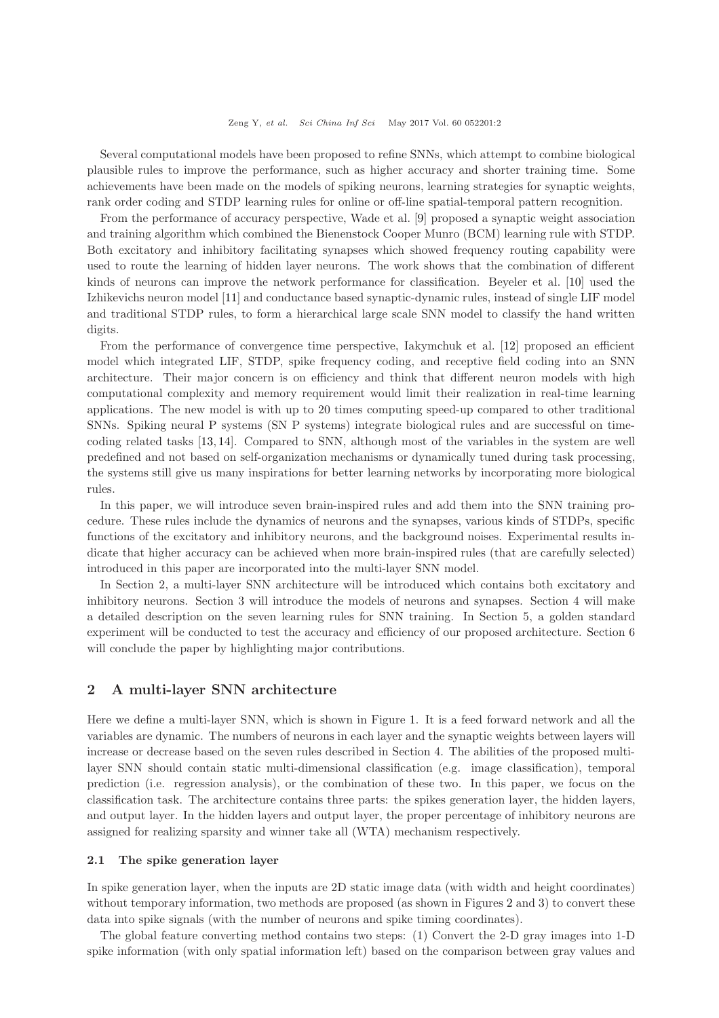Several computational models have been proposed to refine SNNs, which attempt to combine biological plausible rules to improve the performance, such as higher accuracy and shorter training time. Some achievements have been made on the models of spiking neurons, learning strategies for synaptic weights, rank order coding and STDP learning rules for online or off-line spatial-temporal pattern recognition.

From the performance of accuracy perspective, Wade et al. [\[9\]](#page-9-5) proposed a synaptic weight association and training algorithm which combined the Bienenstock Cooper Munro (BCM) learning rule with STDP. Both excitatory and inhibitory facilitating synapses which showed frequency routing capability were used to route the learning of hidden layer neurons. The work shows that the combination of different kinds of neurons can improve the network performance for classification. Beyeler et al. [\[10\]](#page-9-6) used the Izhikevichs neuron model [\[11\]](#page-9-7) and conductance based synaptic-dynamic rules, instead of single LIF model and traditional STDP rules, to form a hierarchical large scale SNN model to classify the hand written digits.

From the performance of convergence time perspective, Iakymchuk et al. [\[12\]](#page-9-8) proposed an efficient model which integrated LIF, STDP, spike frequency coding, and receptive field coding into an SNN architecture. Their major concern is on efficiency and think that different neuron models with high computational complexity and memory requirement would limit their realization in real-time learning applications. The new model is with up to 20 times computing speed-up compared to other traditional SNNs. Spiking neural P systems (SN P systems) integrate biological rules and are successful on timecoding related tasks [\[13,](#page-9-9) [14\]](#page-9-10). Compared to SNN, although most of the variables in the system are well predefined and not based on self-organization mechanisms or dynamically tuned during task processing, the systems still give us many inspirations for better learning networks by incorporating more biological rules.

In this paper, we will introduce seven brain-inspired rules and add them into the SNN training procedure. These rules include the dynamics of neurons and the synapses, various kinds of STDPs, specific functions of the excitatory and inhibitory neurons, and the background noises. Experimental results indicate that higher accuracy can be achieved when more brain-inspired rules (that are carefully selected) introduced in this paper are incorporated into the multi-layer SNN model.

In Section 2, a multi-layer SNN architecture will be introduced which contains both excitatory and inhibitory neurons. Section 3 will introduce the models of neurons and synapses. Section 4 will make a detailed description on the seven learning rules for SNN training. In Section 5, a golden standard experiment will be conducted to test the accuracy and efficiency of our proposed architecture. Section 6 will conclude the paper by highlighting major contributions.

# 2 A multi-layer SNN architecture

Here we define a multi-layer SNN, which is shown in Figure [1.](#page-2-0) It is a feed forward network and all the variables are dynamic. The numbers of neurons in each layer and the synaptic weights between layers will increase or decrease based on the seven rules described in Section 4. The abilities of the proposed multilayer SNN should contain static multi-dimensional classification (e.g. image classification), temporal prediction (i.e. regression analysis), or the combination of these two. In this paper, we focus on the classification task. The architecture contains three parts: the spikes generation layer, the hidden layers, and output layer. In the hidden layers and output layer, the proper percentage of inhibitory neurons are assigned for realizing sparsity and winner take all (WTA) mechanism respectively.

#### 2.1 The spike generation layer

In spike generation layer, when the inputs are 2D static image data (with width and height coordinates) without temporary information, two methods are proposed (as shown in Figures [2](#page-2-1) and [3\)](#page-2-1) to convert these data into spike signals (with the number of neurons and spike timing coordinates).

The global feature converting method contains two steps: (1) Convert the 2-D gray images into 1-D spike information (with only spatial information left) based on the comparison between gray values and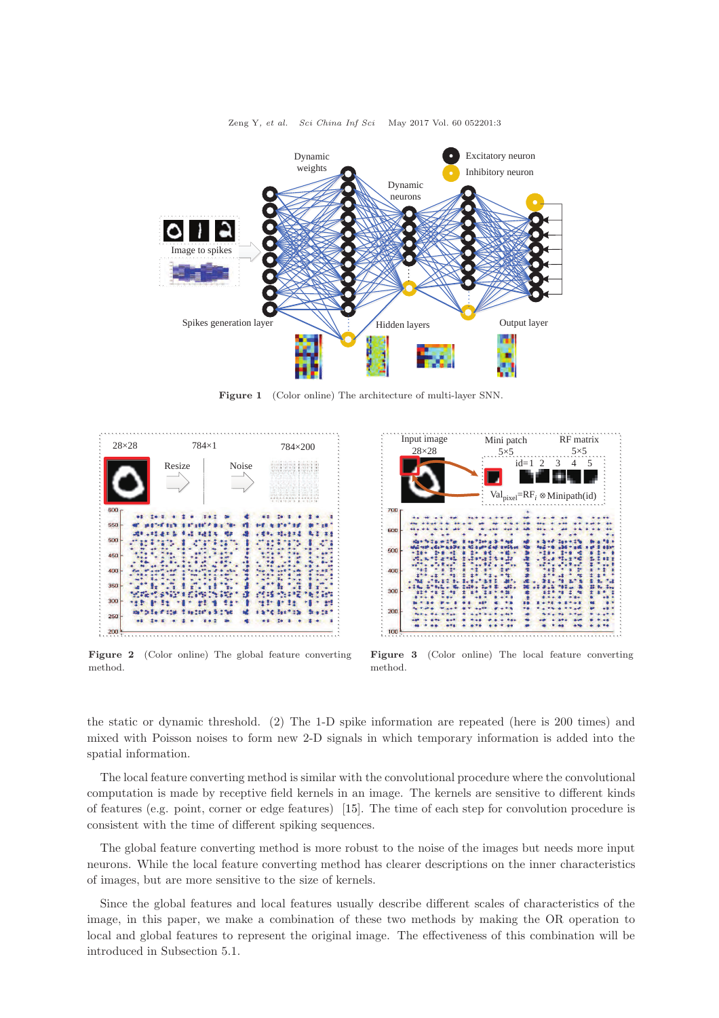<span id="page-2-0"></span>

Zeng Y, et al. Sci China Inf Sci May 2017 Vol. 60 052201:3

Figure 1 (Color online) The architecture of multi-layer SNN.

<span id="page-2-1"></span>

Figure 2 (Color online) The global feature converting method.



Figure 3 (Color online) The local feature converting method.

the static or dynamic threshold. (2) The 1-D spike information are repeated (here is 200 times) and mixed with Poisson noises to form new 2-D signals in which temporary information is added into the spatial information.

The local feature converting method is similar with the convolutional procedure where the convolutional computation is made by receptive field kernels in an image. The kernels are sensitive to different kinds of features (e.g. point, corner or edge features) [\[15\]](#page-10-1). The time of each step for convolution procedure is consistent with the time of different spiking sequences.

The global feature converting method is more robust to the noise of the images but needs more input neurons. While the local feature converting method has clearer descriptions on the inner characteristics of images, but are more sensitive to the size of kernels.

Since the global features and local features usually describe different scales of characteristics of the image, in this paper, we make a combination of these two methods by making the OR operation to local and global features to represent the original image. The effectiveness of this combination will be introduced in Subsection 5.1.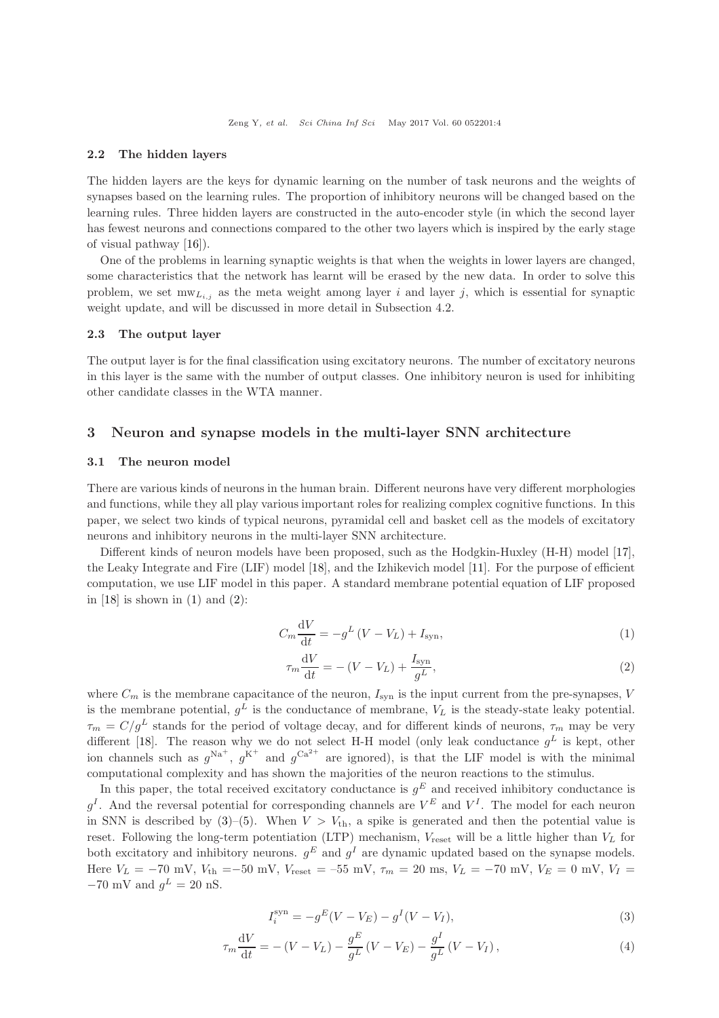#### 2.2 The hidden layers

The hidden layers are the keys for dynamic learning on the number of task neurons and the weights of synapses based on the learning rules. The proportion of inhibitory neurons will be changed based on the learning rules. Three hidden layers are constructed in the auto-encoder style (in which the second layer has fewest neurons and connections compared to the other two layers which is inspired by the early stage of visual pathway [\[16\]](#page-10-2)).

One of the problems in learning synaptic weights is that when the weights in lower layers are changed, some characteristics that the network has learnt will be erased by the new data. In order to solve this problem, we set  $m_{\mathbf{U}_{i,j}}$  as the meta weight among layer i and layer j, which is essential for synaptic weight update, and will be discussed in more detail in Subsection 4.2.

#### 2.3 The output layer

The output layer is for the final classification using excitatory neurons. The number of excitatory neurons in this layer is the same with the number of output classes. One inhibitory neuron is used for inhibiting other candidate classes in the WTA manner.

### 3 Neuron and synapse models in the multi-layer SNN architecture

#### 3.1 The neuron model

There are various kinds of neurons in the human brain. Different neurons have very different morphologies and functions, while they all play various important roles for realizing complex cognitive functions. In this paper, we select two kinds of typical neurons, pyramidal cell and basket cell as the models of excitatory neurons and inhibitory neurons in the multi-layer SNN architecture.

Different kinds of neuron models have been proposed, such as the Hodgkin-Huxley (H-H) model [\[17\]](#page-10-3), the Leaky Integrate and Fire (LIF) model [\[18\]](#page-10-4), and the Izhikevich model [\[11\]](#page-9-7). For the purpose of efficient computation, we use LIF model in this paper. A standard membrane potential equation of LIF proposed in  $[18]$  is shown in  $(1)$  and  $(2)$ :

<span id="page-3-0"></span>
$$
C_m \frac{\mathrm{d}V}{\mathrm{d}t} = -g^L \left( V - V_L \right) + I_{\mathrm{syn}},\tag{1}
$$

<span id="page-3-1"></span>
$$
\tau_m \frac{\mathrm{d}V}{\mathrm{d}t} = -\left(V - V_L\right) + \frac{I_{\mathrm{syn}}}{g^L},\tag{2}
$$

where  $C_m$  is the membrane capacitance of the neuron,  $I_{syn}$  is the input current from the pre-synapses, V is the membrane potential,  $g^L$  is the conductance of membrane,  $V_L$  is the steady-state leaky potential.  $\tau_m = C/g^L$  stands for the period of voltage decay, and for different kinds of neurons,  $\tau_m$  may be very different [\[18\]](#page-10-4). The reason why we do not select H-H model (only leak conductance  $g^L$  is kept, other ion channels such as  $g^{Na^+}$ ,  $g^{K^+}$  and  $g^{Ca^{2+}}$  are ignored), is that the LIF model is with the minimal computational complexity and has shown the majorities of the neuron reactions to the stimulus.

In this paper, the total received excitatory conductance is  $g<sup>E</sup>$  and received inhibitory conductance is  $g^I$ . And the reversal potential for corresponding channels are  $V^E$  and  $V^I$ . The model for each neuron in SNN is described by  $(3)-(5)$  $(3)-(5)$ . When  $V > V_{th}$ , a spike is generated and then the potential value is reset. Following the long-term potentiation (LTP) mechanism,  $V_{\text{reset}}$  will be a little higher than  $V_L$  for both excitatory and inhibitory neurons.  $g^E$  and  $g^I$  are dynamic updated based on the synapse models. Here  $V_L = -70$  mV,  $V_{th} = -50$  mV,  $V_{reset} = -55$  mV,  $\tau_m = 20$  ms,  $V_L = -70$  mV,  $V_E = 0$  mV,  $V_I =$  $-70$  mV and  $g^L = 20$  nS.

<span id="page-3-2"></span>
$$
I_i^{\rm syn} = -g^E(V - V_E) - g^I(V - V_I),\tag{3}
$$

$$
\tau_m \frac{dV}{dt} = - (V - V_L) - \frac{g^E}{g^L} (V - V_E) - \frac{g^I}{g^L} (V - V_I) , \qquad (4)
$$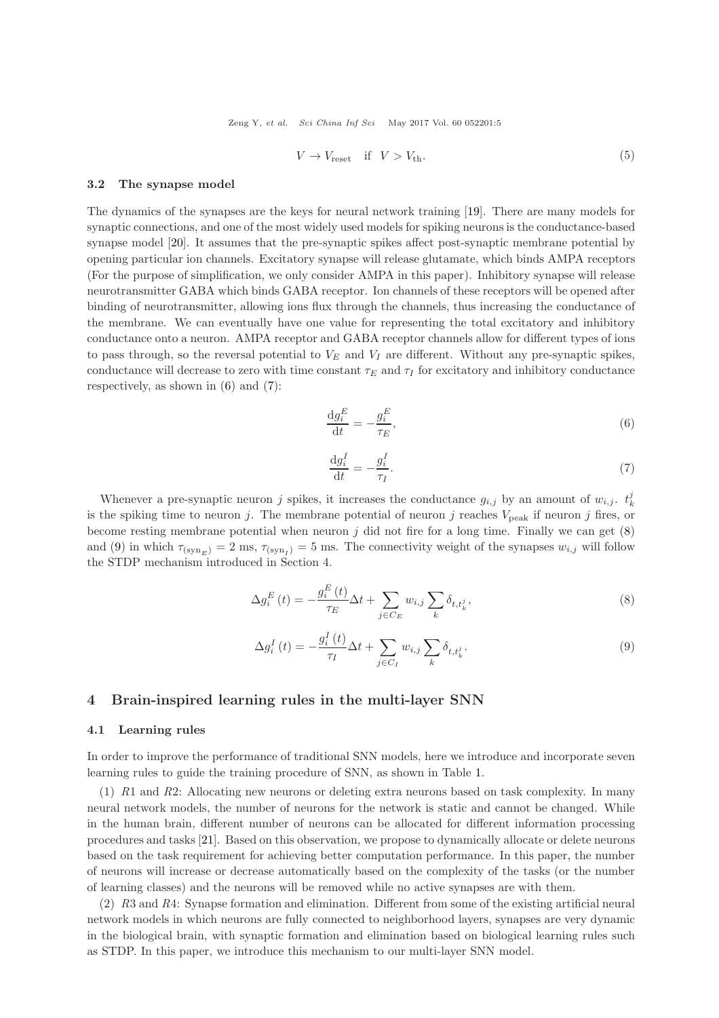Zeng Y, et al. Sci China Inf Sci May 2017 Vol. 60 052201:5

<span id="page-4-0"></span>
$$
V \to V_{\text{reset}} \quad \text{if} \quad V > V_{\text{th}}.\tag{5}
$$

#### 3.2 The synapse model

The dynamics of the synapses are the keys for neural network training [\[19\]](#page-10-5). There are many models for synaptic connections, and one of the most widely used models for spiking neurons is the conductance-based synapse model [\[20\]](#page-10-6). It assumes that the pre-synaptic spikes affect post-synaptic membrane potential by opening particular ion channels. Excitatory synapse will release glutamate, which binds AMPA receptors (For the purpose of simplification, we only consider AMPA in this paper). Inhibitory synapse will release neurotransmitter GABA which binds GABA receptor. Ion channels of these receptors will be opened after binding of neurotransmitter, allowing ions flux through the channels, thus increasing the conductance of the membrane. We can eventually have one value for representing the total excitatory and inhibitory conductance onto a neuron. AMPA receptor and GABA receptor channels allow for different types of ions to pass through, so the reversal potential to  $V_E$  and  $V_I$  are different. Without any pre-synaptic spikes, conductance will decrease to zero with time constant  $\tau_E$  and  $\tau_I$  for excitatory and inhibitory conductance respectively, as shown in [\(6\)](#page-4-1) and [\(7\)](#page-4-2):

<span id="page-4-1"></span>
$$
\frac{\mathrm{d}g_i^E}{\mathrm{d}t} = -\frac{g_i^E}{\tau_E},\tag{6}
$$

<span id="page-4-2"></span>
$$
\frac{\mathrm{d}g_i^I}{\mathrm{d}t} = -\frac{g_i^I}{\tau_I}.\tag{7}
$$

Whenever a pre-synaptic neuron j spikes, it increases the conductance  $g_{i,j}$  by an amount of  $w_{i,j}$ .  $t_k^j$ is the spiking time to neuron j. The membrane potential of neuron j reaches  $V_{\text{peak}}$  if neuron j fires, or become resting membrane potential when neuron  $j$  did not fire for a long time. Finally we can get  $(8)$ and [\(9\)](#page-4-4) in which  $\tau_{(\text{syn}_E)} = 2 \text{ ms}, \tau_{(\text{syn}_I)} = 5 \text{ ms}$ . The connectivity weight of the synapses  $w_{i,j}$  will follow the STDP mechanism introduced in Section 4.

<span id="page-4-3"></span>
$$
\Delta g_i^E(t) = -\frac{g_i^E(t)}{\tau_E} \Delta t + \sum_{j \in C_E} w_{i,j} \sum_k \delta_{t, t_k^j},\tag{8}
$$

<span id="page-4-4"></span>
$$
\Delta g_i^I(t) = -\frac{g_i^I(t)}{\tau_I} \Delta t + \sum_{j \in C_I} w_{i,j} \sum_k \delta_{t,t_k^j}.
$$
\n(9)

# 4 Brain-inspired learning rules in the multi-layer SNN

#### 4.1 Learning rules

In order to improve the performance of traditional SNN models, here we introduce and incorporate seven learning rules to guide the training procedure of SNN, as shown in Table [1.](#page-5-0)

(1) R1 and R2: Allocating new neurons or deleting extra neurons based on task complexity. In many neural network models, the number of neurons for the network is static and cannot be changed. While in the human brain, different number of neurons can be allocated for different information processing procedures and tasks [\[21\]](#page-10-7). Based on this observation, we propose to dynamically allocate or delete neurons based on the task requirement for achieving better computation performance. In this paper, the number of neurons will increase or decrease automatically based on the complexity of the tasks (or the number of learning classes) and the neurons will be removed while no active synapses are with them.

(2) R3 and R4: Synapse formation and elimination. Different from some of the existing artificial neural network models in which neurons are fully connected to neighborhood layers, synapses are very dynamic in the biological brain, with synaptic formation and elimination based on biological learning rules such as STDP. In this paper, we introduce this mechanism to our multi-layer SNN model.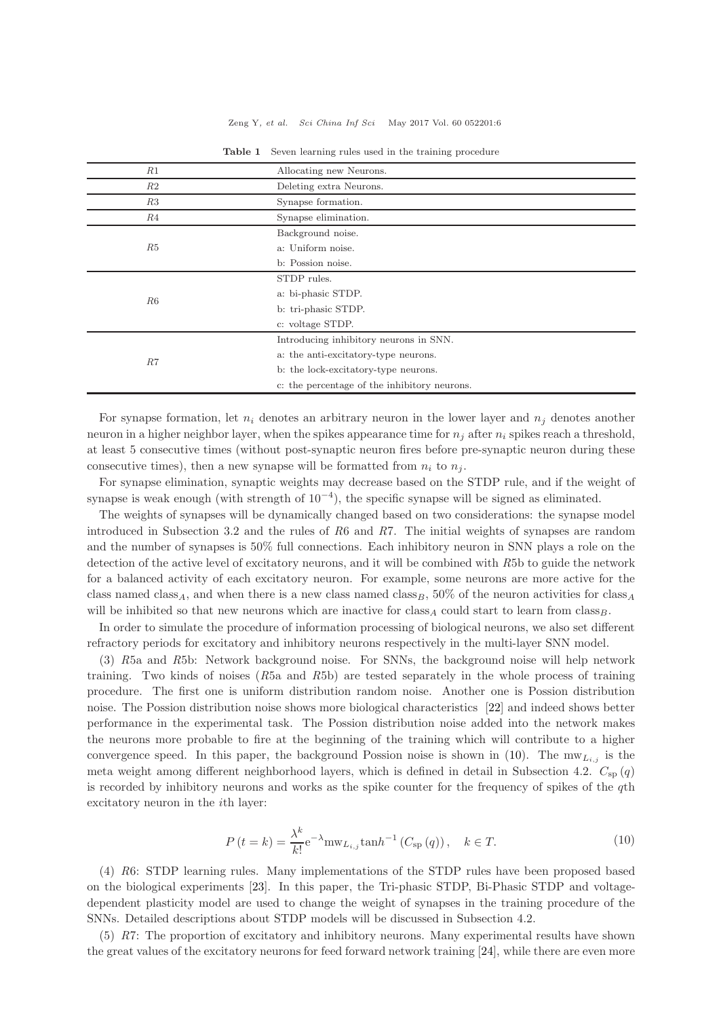#### Zeng Y, et al. Sci China Inf Sci May 2017 Vol. 60 052201:6

<span id="page-5-0"></span>

| R1 | Allocating new Neurons.                      |  |  |  |
|----|----------------------------------------------|--|--|--|
| R2 | Deleting extra Neurons.                      |  |  |  |
| R3 | Synapse formation.                           |  |  |  |
| R4 | Synapse elimination.                         |  |  |  |
| R5 | Background noise.                            |  |  |  |
|    | a: Uniform noise.                            |  |  |  |
|    | b: Possion noise.                            |  |  |  |
| R6 | STDP rules.                                  |  |  |  |
|    | a: bi-phasic STDP.                           |  |  |  |
|    | b: tri-phasic STDP.                          |  |  |  |
|    | c: voltage STDP.                             |  |  |  |
| R7 | Introducing inhibitory neurons in SNN.       |  |  |  |
|    | a: the anti-excitatory-type neurons.         |  |  |  |
|    | b: the lock-excitatory-type neurons.         |  |  |  |
|    | c: the percentage of the inhibitory neurons. |  |  |  |

Table 1 Seven learning rules used in the training procedure

For synapse formation, let  $n_i$  denotes an arbitrary neuron in the lower layer and  $n_i$  denotes another neuron in a higher neighbor layer, when the spikes appearance time for  $n_i$  after  $n_i$  spikes reach a threshold, at least 5 consecutive times (without post-synaptic neuron fires before pre-synaptic neuron during these consecutive times), then a new synapse will be formatted from  $n_i$  to  $n_j$ .

For synapse elimination, synaptic weights may decrease based on the STDP rule, and if the weight of synapse is weak enough (with strength of  $10^{-4}$ ), the specific synapse will be signed as eliminated.

The weights of synapses will be dynamically changed based on two considerations: the synapse model introduced in Subsection 3.2 and the rules of R6 and R7. The initial weights of synapses are random and the number of synapses is 50% full connections. Each inhibitory neuron in SNN plays a role on the detection of the active level of excitatory neurons, and it will be combined with R5b to guide the network for a balanced activity of each excitatory neuron. For example, some neurons are more active for the class named class<sub>A</sub>, and when there is a new class named class<sub>B</sub>, 50% of the neuron activities for class<sub>A</sub> will be inhibited so that new neurons which are inactive for class<sub>A</sub> could start to learn from class<sub>B</sub>.

In order to simulate the procedure of information processing of biological neurons, we also set different refractory periods for excitatory and inhibitory neurons respectively in the multi-layer SNN model.

(3) R5a and R5b: Network background noise. For SNNs, the background noise will help network training. Two kinds of noises  $(R5a$  and  $R5b)$  are tested separately in the whole process of training procedure. The first one is uniform distribution random noise. Another one is Possion distribution noise. The Possion distribution noise shows more biological characteristics [\[22\]](#page-10-8) and indeed shows better performance in the experimental task. The Possion distribution noise added into the network makes the neurons more probable to fire at the beginning of the training which will contribute to a higher convergence speed. In this paper, the background Possion noise is shown in [\(10\)](#page-5-1). The  $mw_{Li,j}$  is the meta weight among different neighborhood layers, which is defined in detail in Subsection 4.2.  $C_{\rm sp}(q)$ is recorded by inhibitory neurons and works as the spike counter for the frequency of spikes of the qth excitatory neuron in the ith layer:

<span id="page-5-1"></span>
$$
P(t = k) = \frac{\lambda^k}{k!} e^{-\lambda} \text{mw}_{L_{i,j}} \tanh^{-1} (C_{\text{sp}}(q)), \quad k \in T.
$$
 (10)

(4) R6: STDP learning rules. Many implementations of the STDP rules have been proposed based on the biological experiments [\[23\]](#page-10-9). In this paper, the Tri-phasic STDP, Bi-Phasic STDP and voltagedependent plasticity model are used to change the weight of synapses in the training procedure of the SNNs. Detailed descriptions about STDP models will be discussed in Subsection 4.2.

(5) R7: The proportion of excitatory and inhibitory neurons. Many experimental results have shown the great values of the excitatory neurons for feed forward network training [\[24\]](#page-10-10), while there are even more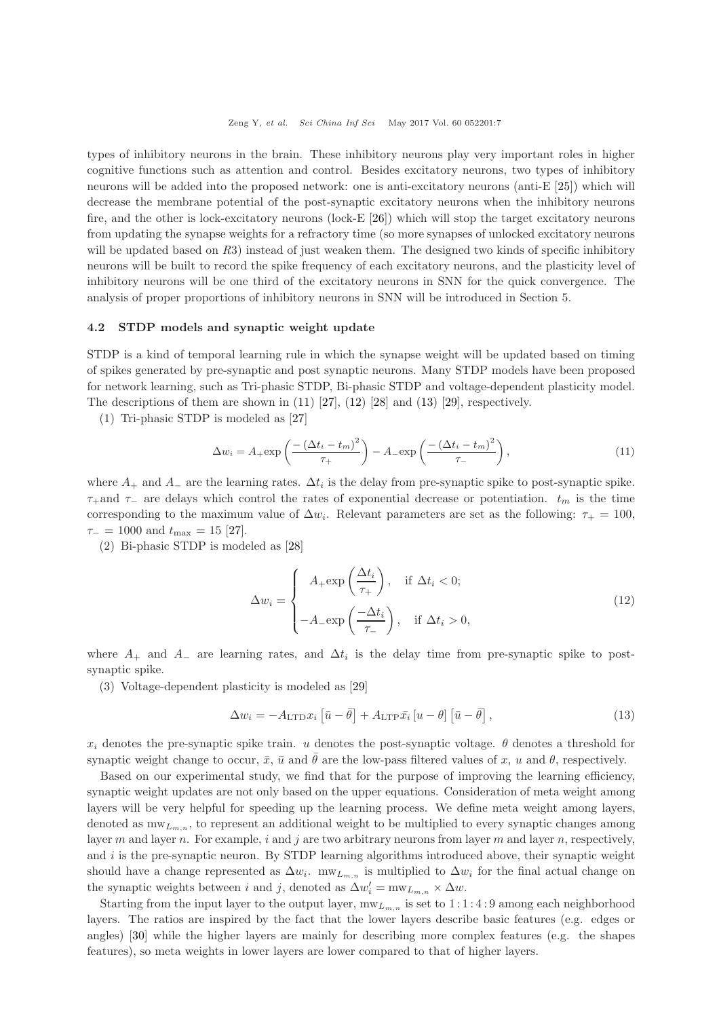types of inhibitory neurons in the brain. These inhibitory neurons play very important roles in higher cognitive functions such as attention and control. Besides excitatory neurons, two types of inhibitory neurons will be added into the proposed network: one is anti-excitatory neurons (anti-E [\[25\]](#page-10-11)) which will decrease the membrane potential of the post-synaptic excitatory neurons when the inhibitory neurons fire, and the other is lock-excitatory neurons (lock-E [\[26\]](#page-10-12)) which will stop the target excitatory neurons from updating the synapse weights for a refractory time (so more synapses of unlocked excitatory neurons will be updated based on  $R3$ ) instead of just weaken them. The designed two kinds of specific inhibitory neurons will be built to record the spike frequency of each excitatory neurons, and the plasticity level of inhibitory neurons will be one third of the excitatory neurons in SNN for the quick convergence. The analysis of proper proportions of inhibitory neurons in SNN will be introduced in Section 5.

#### 4.2 STDP models and synaptic weight update

STDP is a kind of temporal learning rule in which the synapse weight will be updated based on timing of spikes generated by pre-synaptic and post synaptic neurons. Many STDP models have been proposed for network learning, such as Tri-phasic STDP, Bi-phasic STDP and voltage-dependent plasticity model. The descriptions of them are shown in  $(11)$   $[27]$ ,  $(12)$   $[28]$  and  $(13)$   $[29]$ , respectively.

(1) Tri-phasic STDP is modeled as [\[27\]](#page-10-13)

<span id="page-6-0"></span>
$$
\Delta w_i = A_+ \exp\left(\frac{-\left(\Delta t_i - t_m\right)^2}{\tau_+}\right) - A_- \exp\left(\frac{-\left(\Delta t_i - t_m\right)^2}{\tau_-}\right),\tag{11}
$$

where  $A_+$  and  $A_-$  are the learning rates.  $\Delta t_i$  is the delay from pre-synaptic spike to post-synaptic spike.  $\tau_+$ and  $\tau_-$  are delays which control the rates of exponential decrease or potentiation.  $t_m$  is the time corresponding to the maximum value of  $\Delta w_i$ . Relevant parameters are set as the following:  $\tau_+ = 100$ ,  $\tau_-=1000$  and  $t_{\text{max}}=15$  [\[27\]](#page-10-13).

(2) Bi-phasic STDP is modeled as [\[28\]](#page-10-14)

<span id="page-6-1"></span>
$$
\Delta w_i = \begin{cases}\nA_+ \exp\left(\frac{\Delta t_i}{\tau_+}\right), & \text{if } \Delta t_i < 0; \\
-A_- \exp\left(\frac{-\Delta t_i}{\tau_-}\right), & \text{if } \Delta t_i > 0,\n\end{cases}
$$
\n(12)

where  $A_+$  and  $A_-$  are learning rates, and  $\Delta t_i$  is the delay time from pre-synaptic spike to postsynaptic spike.

(3) Voltage-dependent plasticity is modeled as [\[29\]](#page-10-15)

<span id="page-6-2"></span>
$$
\Delta w_i = -A_{\text{LTD}} x_i \left[ \bar{u} - \bar{\theta} \right] + A_{\text{LTP}} \bar{x}_i \left[ u - \theta \right] \left[ \bar{u} - \bar{\theta} \right],\tag{13}
$$

 $x_i$  denotes the pre-synaptic spike train. u denotes the post-synaptic voltage.  $\theta$  denotes a threshold for synaptic weight change to occur,  $\bar{x}$ ,  $\bar{u}$  and  $\bar{\theta}$  are the low-pass filtered values of x, u and  $\theta$ , respectively.

Based on our experimental study, we find that for the purpose of improving the learning efficiency, synaptic weight updates are not only based on the upper equations. Consideration of meta weight among layers will be very helpful for speeding up the learning process. We define meta weight among layers, denoted as  $mw_{L_{m,n}}$ , to represent an additional weight to be multiplied to every synaptic changes among layer m and layer n. For example, i and j are two arbitrary neurons from layer m and layer n, respectively, and  $i$  is the pre-synaptic neuron. By STDP learning algorithms introduced above, their synaptic weight should have a change represented as  $\Delta w_i$ .  $m w_{L_{m,n}}$  is multiplied to  $\Delta w_i$  for the final actual change on the synaptic weights between i and j, denoted as  $\Delta w'_{i} = \text{mw}_{L_{m,n}} \times \Delta w$ .

Starting from the input layer to the output layer,  $m w_{L_{m,n}}$  is set to  $1:1:4:9$  among each neighborhood layers. The ratios are inspired by the fact that the lower layers describe basic features (e.g. edges or angles) [\[30\]](#page-10-16) while the higher layers are mainly for describing more complex features (e.g. the shapes features), so meta weights in lower layers are lower compared to that of higher layers.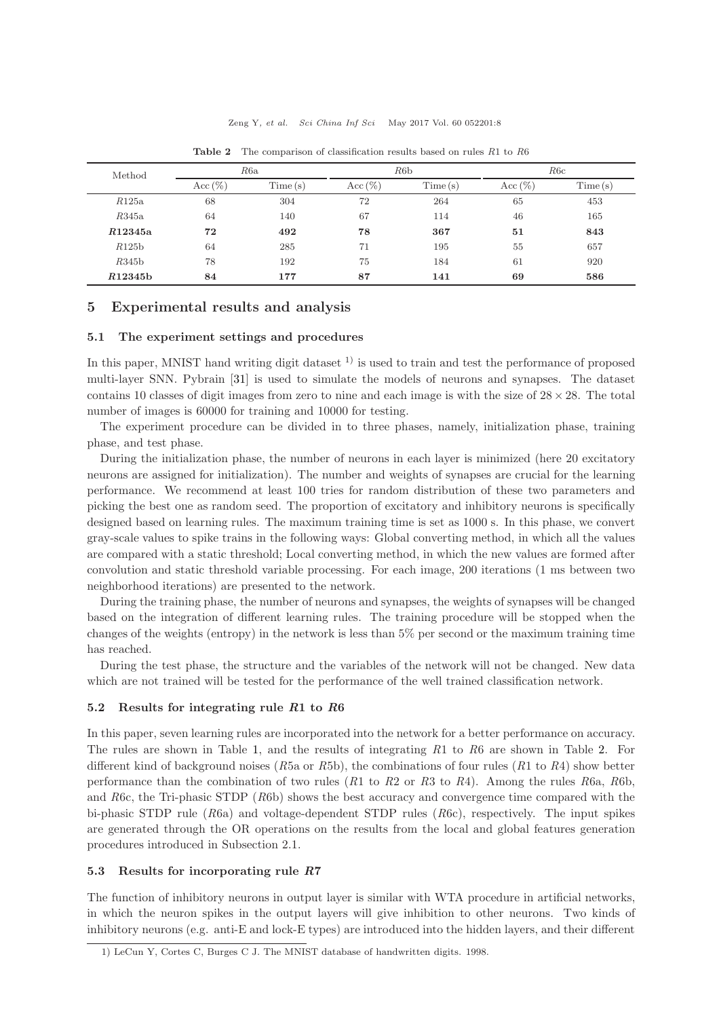<span id="page-7-0"></span>

| Method  | R6a        |         | R6b        |         | R6c        |         |
|---------|------------|---------|------------|---------|------------|---------|
|         | Acc $(\%)$ | Time(s) | $Acc (\%)$ | Time(s) | $Acc (\%)$ | Time(s) |
| R125a   | 68         | 304     | 72         | 264     | 65         | 453     |
| R345a   | 64         | 140     | 67         | 114     | 46         | 165     |
| R12345a | 72         | 492     | 78         | 367     | 51         | 843     |
| R125b   | 64         | 285     | 71         | 195     | 55         | 657     |
| R345b   | 78         | 192     | 75         | 184     | 61         | 920     |
| R12345b | 84         | 177     | 87         | 141     | 69         | 586     |

Table 2 The comparison of classification results based on rules  $R1$  to  $R6$ 

# 5 Experimental results and analysis

### 5.1 The experiment settings and procedures

In this paper, MNIST hand writing digit dataset  $^{1)}$  is used to train and test the performance of proposed multi-layer SNN. Pybrain [\[31\]](#page-10-17) is used to simulate the models of neurons and synapses. The dataset contains 10 classes of digit images from zero to nine and each image is with the size of  $28 \times 28$ . The total number of images is 60000 for training and 10000 for testing.

The experiment procedure can be divided in to three phases, namely, initialization phase, training phase, and test phase.

During the initialization phase, the number of neurons in each layer is minimized (here 20 excitatory neurons are assigned for initialization). The number and weights of synapses are crucial for the learning performance. We recommend at least 100 tries for random distribution of these two parameters and picking the best one as random seed. The proportion of excitatory and inhibitory neurons is specifically designed based on learning rules. The maximum training time is set as 1000 s. In this phase, we convert gray-scale values to spike trains in the following ways: Global converting method, in which all the values are compared with a static threshold; Local converting method, in which the new values are formed after convolution and static threshold variable processing. For each image, 200 iterations (1 ms between two neighborhood iterations) are presented to the network.

During the training phase, the number of neurons and synapses, the weights of synapses will be changed based on the integration of different learning rules. The training procedure will be stopped when the changes of the weights (entropy) in the network is less than 5% per second or the maximum training time has reached.

During the test phase, the structure and the variables of the network will not be changed. New data which are not trained will be tested for the performance of the well trained classification network.

#### 5.2 Results for integrating rule R1 to R6

In this paper, seven learning rules are incorporated into the network for a better performance on accuracy. The rules are shown in Table [1,](#page-5-0) and the results of integrating R1 to R6 are shown in Table [2.](#page-7-0) For different kind of background noises (R5a or R5b), the combinations of four rules  $(R1 \text{ to } R4)$  show better performance than the combination of two rules  $(R1$  to  $R2$  or  $R3$  to  $R4$ ). Among the rules  $R6a$ ,  $R6b$ , and R6c, the Tri-phasic STDP (R6b) shows the best accuracy and convergence time compared with the bi-phasic STDP rule (R6a) and voltage-dependent STDP rules (R6c), respectively. The input spikes are generated through the OR operations on the results from the local and global features generation procedures introduced in Subsection 2.1.

#### 5.3 Results for incorporating rule R7

The function of inhibitory neurons in output layer is similar with WTA procedure in artificial networks, in which the neuron spikes in the output layers will give inhibition to other neurons. Two kinds of inhibitory neurons (e.g. anti-E and lock-E types) are introduced into the hidden layers, and their different

<sup>1)</sup> LeCun Y, Cortes C, Burges C J. The MNIST database of handwritten digits. 1998.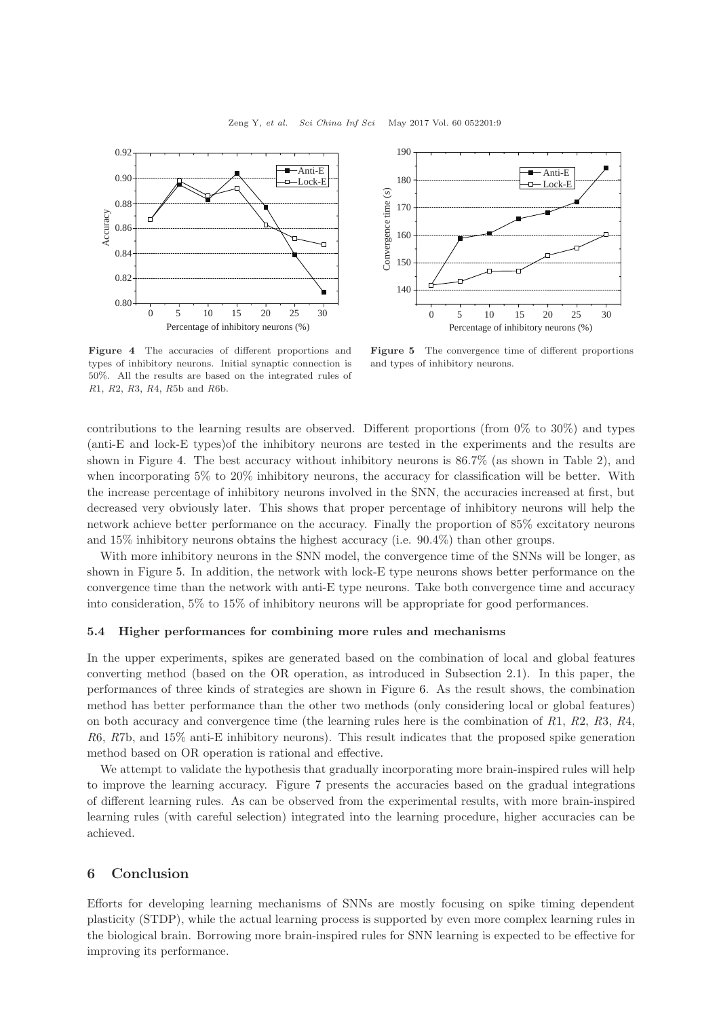<span id="page-8-0"></span>

190 Anti-E 180 Lock-E Convergence time (s) Convergence time (s) 170 160 150  $140$ 0 5 10 15 20 25 30 Percentage of inhibitory neurons (%)

Figure 4 The accuracies of different proportions and types of inhibitory neurons. Initial synaptic connection is 50%. All the results are based on the integrated rules of R1, R2, R3, R4, R5b and R6b.

Figure 5 The convergence time of different proportions and types of inhibitory neurons.

contributions to the learning results are observed. Different proportions (from  $0\%$  to  $30\%$ ) and types (anti-E and lock-E types)of the inhibitory neurons are tested in the experiments and the results are shown in Figure [4.](#page-8-0) The best accuracy without inhibitory neurons is 86.7% (as shown in Table 2), and when incorporating 5% to 20% inhibitory neurons, the accuracy for classification will be better. With the increase percentage of inhibitory neurons involved in the SNN, the accuracies increased at first, but decreased very obviously later. This shows that proper percentage of inhibitory neurons will help the network achieve better performance on the accuracy. Finally the proportion of 85% excitatory neurons and 15% inhibitory neurons obtains the highest accuracy (i.e. 90.4%) than other groups.

With more inhibitory neurons in the SNN model, the convergence time of the SNNs will be longer, as shown in Figure [5.](#page-8-0) In addition, the network with lock-E type neurons shows better performance on the convergence time than the network with anti-E type neurons. Take both convergence time and accuracy into consideration, 5% to 15% of inhibitory neurons will be appropriate for good performances.

#### 5.4 Higher performances for combining more rules and mechanisms

In the upper experiments, spikes are generated based on the combination of local and global features converting method (based on the OR operation, as introduced in Subsection 2.1). In this paper, the performances of three kinds of strategies are shown in Figure [6.](#page-9-11) As the result shows, the combination method has better performance than the other two methods (only considering local or global features) on both accuracy and convergence time (the learning rules here is the combination of  $R_1$ ,  $R_2$ ,  $R_3$ ,  $R_4$ , R6, R7b, and 15% anti-E inhibitory neurons). This result indicates that the proposed spike generation method based on OR operation is rational and effective.

We attempt to validate the hypothesis that gradually incorporating more brain-inspired rules will help to improve the learning accuracy. Figure [7](#page-9-11) presents the accuracies based on the gradual integrations of different learning rules. As can be observed from the experimental results, with more brain-inspired learning rules (with careful selection) integrated into the learning procedure, higher accuracies can be achieved.

# 6 Conclusion

Efforts for developing learning mechanisms of SNNs are mostly focusing on spike timing dependent plasticity (STDP), while the actual learning process is supported by even more complex learning rules in the biological brain. Borrowing more brain-inspired rules for SNN learning is expected to be effective for improving its performance.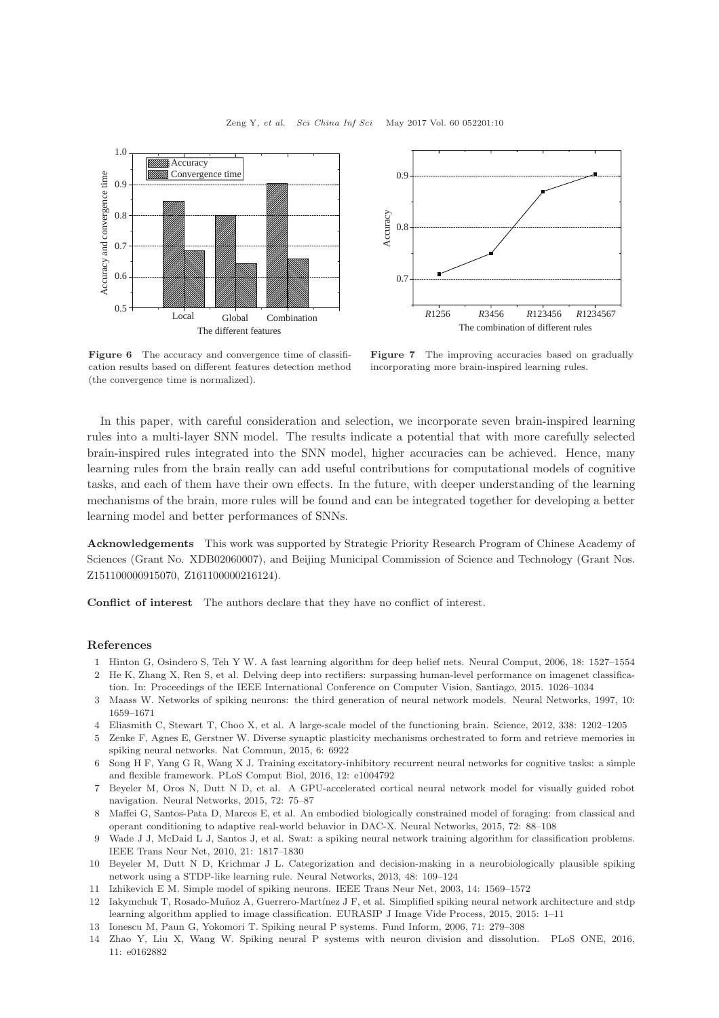<span id="page-9-11"></span>



Figure 6 The accuracy and convergence time of classification results based on different features detection method (the convergence time is normalized).

Figure 7 The improving accuracies based on gradually incorporating more brain-inspired learning rules.

In this paper, with careful consideration and selection, we incorporate seven brain-inspired learning rules into a multi-layer SNN model. The results indicate a potential that with more carefully selected brain-inspired rules integrated into the SNN model, higher accuracies can be achieved. Hence, many learning rules from the brain really can add useful contributions for computational models of cognitive tasks, and each of them have their own effects. In the future, with deeper understanding of the learning mechanisms of the brain, more rules will be found and can be integrated together for developing a better learning model and better performances of SNNs.

Acknowledgements This work was supported by Strategic Priority Research Program of Chinese Academy of Sciences (Grant No. XDB02060007), and Beijing Municipal Commission of Science and Technology (Grant Nos. Z151100000915070, Z161100000216124).

Conflict of interest The authors declare that they have no conflict of interest.

#### <span id="page-9-0"></span>References

- <span id="page-9-1"></span>1 Hinton G, Osindero S, Teh Y W. A fast learning algorithm for deep belief nets. Neural Comput, 2006, 18: 1527–1554
- 2 He K, Zhang X, Ren S, et al. Delving deep into rectifiers: surpassing human-level performance on imagenet classification. In: Proceedings of the IEEE International Conference on Computer Vision, Santiago, 2015. 1026–1034
- <span id="page-9-3"></span><span id="page-9-2"></span>3 Maass W. Networks of spiking neurons: the third generation of neural network models. Neural Networks, 1997, 10: 1659–1671
- 4 Eliasmith C, Stewart T, Choo X, et al. A large-scale model of the functioning brain. Science, 2012, 338: 1202–1205
- 5 Zenke F, Agnes E, Gerstner W. Diverse synaptic plasticity mechanisms orchestrated to form and retrieve memories in spiking neural networks. Nat Commun, 2015, 6: 6922
- 6 Song H F, Yang G R, Wang X J. Training excitatory-inhibitory recurrent neural networks for cognitive tasks: a simple and flexible framework. PLoS Comput Biol, 2016, 12: e1004792
- 7 Beyeler M, Oros N, Dutt N D, et al. A GPU-accelerated cortical neural network model for visually guided robot navigation. Neural Networks, 2015, 72: 75–87
- <span id="page-9-4"></span>8 Maffei G, Santos-Pata D, Marcos E, et al. An embodied biologically constrained model of foraging: from classical and operant conditioning to adaptive real-world behavior in DAC-X. Neural Networks, 2015, 72: 88–108
- <span id="page-9-5"></span>9 Wade J J, McDaid L J, Santos J, et al. Swat: a spiking neural network training algorithm for classification problems. IEEE Trans Neur Net, 2010, 21: 1817–1830
- <span id="page-9-6"></span>10 Beyeler M, Dutt N D, Krichmar J L. Categorization and decision-making in a neurobiologically plausible spiking network using a STDP-like learning rule. Neural Networks, 2013, 48: 109–124
- <span id="page-9-8"></span><span id="page-9-7"></span>11 Izhikevich E M. Simple model of spiking neurons. IEEE Trans Neur Net, 2003, 14: 1569–1572
- 12 Iakymchuk T, Rosado-Muñoz A, Guerrero-Martínez J F, et al. Simplified spiking neural network architecture and stdp learning algorithm applied to image classification. EURASIP J Image Vide Process, 2015, 2015: 1–11
- <span id="page-9-10"></span><span id="page-9-9"></span>13 Ionescu M, Paun G, Yokomori T. Spiking neural P systems. Fund Inform, 2006, 71: 279–308
- 14 Zhao Y, Liu X, Wang W. Spiking neural P systems with neuron division and dissolution. PLoS ONE, 2016, 11: e0162882